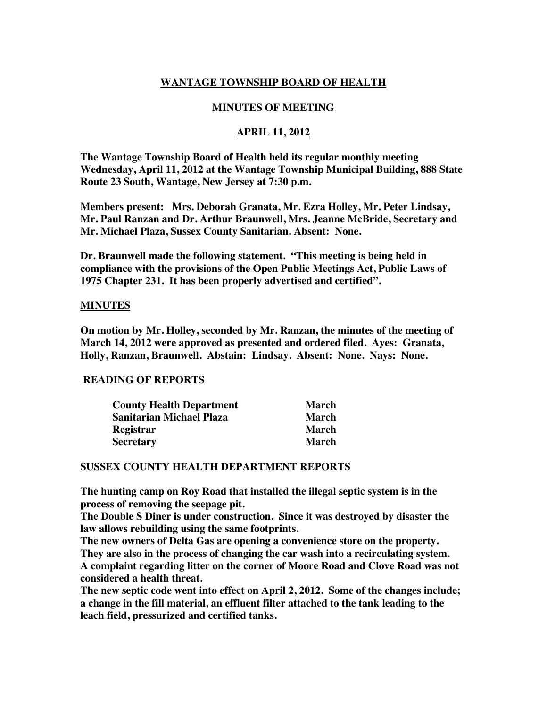# **WANTAGE TOWNSHIP BOARD OF HEALTH**

## **MINUTES OF MEETING**

## **APRIL 11, 2012**

**The Wantage Township Board of Health held its regular monthly meeting Wednesday, April 11, 2012 at the Wantage Township Municipal Building, 888 State Route 23 South, Wantage, New Jersey at 7:30 p.m.** 

**Members present: Mrs. Deborah Granata, Mr. Ezra Holley, Mr. Peter Lindsay, Mr. Paul Ranzan and Dr. Arthur Braunwell, Mrs. Jeanne McBride, Secretary and Mr. Michael Plaza, Sussex County Sanitarian. Absent: None.**

**Dr. Braunwell made the following statement. "This meeting is being held in compliance with the provisions of the Open Public Meetings Act, Public Laws of 1975 Chapter 231. It has been properly advertised and certified".**

#### **MINUTES**

**On motion by Mr. Holley, seconded by Mr. Ranzan, the minutes of the meeting of March 14, 2012 were approved as presented and ordered filed. Ayes: Granata, Holly, Ranzan, Braunwell. Abstain: Lindsay. Absent: None. Nays: None.** 

## **READING OF REPORTS**

| <b>County Health Department</b> | <b>March</b> |
|---------------------------------|--------------|
| Sanitarian Michael Plaza        | March        |
| Registrar                       | March        |
| Secretary                       | March        |

#### **SUSSEX COUNTY HEALTH DEPARTMENT REPORTS**

**The hunting camp on Roy Road that installed the illegal septic system is in the process of removing the seepage pit.**

**The Double S Diner is under construction. Since it was destroyed by disaster the law allows rebuilding using the same footprints.**

**The new owners of Delta Gas are opening a convenience store on the property. They are also in the process of changing the car wash into a recirculating system. A complaint regarding litter on the corner of Moore Road and Clove Road was not considered a health threat.**

**The new septic code went into effect on April 2, 2012. Some of the changes include; a change in the fill material, an effluent filter attached to the tank leading to the leach field, pressurized and certified tanks.**